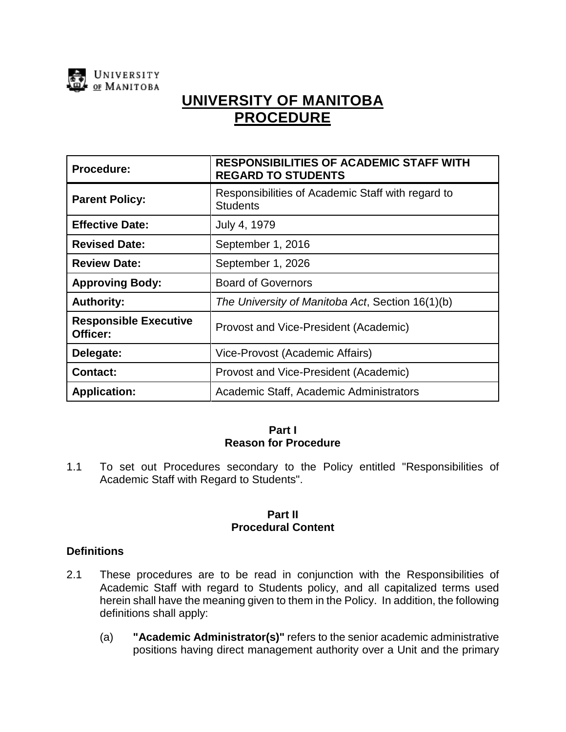

# **UNIVERSITY OF MANITOBA PROCEDURE**

| Procedure:                               | <b>RESPONSIBILITIES OF ACADEMIC STAFF WITH</b><br><b>REGARD TO STUDENTS</b> |
|------------------------------------------|-----------------------------------------------------------------------------|
| <b>Parent Policy:</b>                    | Responsibilities of Academic Staff with regard to<br><b>Students</b>        |
| <b>Effective Date:</b>                   | July 4, 1979                                                                |
| <b>Revised Date:</b>                     | September 1, 2016                                                           |
| <b>Review Date:</b>                      | September 1, 2026                                                           |
| <b>Approving Body:</b>                   | <b>Board of Governors</b>                                                   |
| <b>Authority:</b>                        | The University of Manitoba Act, Section 16(1)(b)                            |
| <b>Responsible Executive</b><br>Officer: | Provost and Vice-President (Academic)                                       |
| Delegate:                                | Vice-Provost (Academic Affairs)                                             |
| <b>Contact:</b>                          | Provost and Vice-President (Academic)                                       |
| <b>Application:</b>                      | Academic Staff, Academic Administrators                                     |

### **Part I Reason for Procedure**

1.1 To set out Procedures secondary to the Policy entitled "Responsibilities of Academic Staff with Regard to Students".

#### **Part II Procedural Content**

# **Definitions**

- 2.1 These procedures are to be read in conjunction with the Responsibilities of Academic Staff with regard to Students policy, and all capitalized terms used herein shall have the meaning given to them in the Policy. In addition, the following definitions shall apply:
	- (a) **"Academic Administrator(s)"** refers to the senior academic administrative positions having direct management authority over a Unit and the primary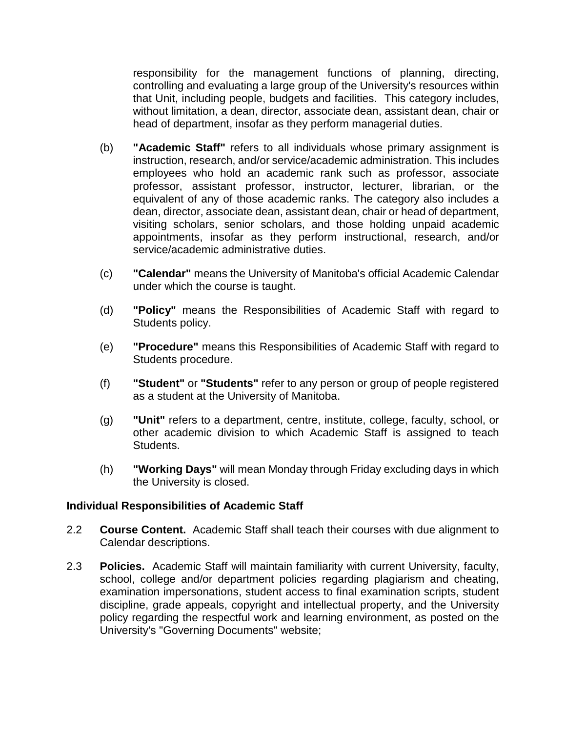responsibility for the management functions of planning, directing, controlling and evaluating a large group of the University's resources within that Unit, including people, budgets and facilities. This category includes, without limitation, a dean, director, associate dean, assistant dean, chair or head of department, insofar as they perform managerial duties.

- (b) **"Academic Staff"** refers to all individuals whose primary assignment is instruction, research, and/or service/academic administration. This includes employees who hold an academic rank such as professor, associate professor, assistant professor, instructor, lecturer, librarian, or the equivalent of any of those academic ranks. The category also includes a dean, director, associate dean, assistant dean, chair or head of department, visiting scholars, senior scholars, and those holding unpaid academic appointments, insofar as they perform instructional, research, and/or service/academic administrative duties.
- (c) **"Calendar"** means the University of Manitoba's official Academic Calendar under which the course is taught.
- (d) **"Policy"** means the Responsibilities of Academic Staff with regard to Students policy.
- (e) **"Procedure"** means this Responsibilities of Academic Staff with regard to Students procedure.
- (f) **"Student"** or **"Students"** refer to any person or group of people registered as a student at the University of Manitoba.
- (g) **"Unit"** refers to a department, centre, institute, college, faculty, school, or other academic division to which Academic Staff is assigned to teach Students.
- (h) **"Working Days"** will mean Monday through Friday excluding days in which the University is closed.

# **Individual Responsibilities of Academic Staff**

- 2.2 **Course Content.** Academic Staff shall teach their courses with due alignment to Calendar descriptions.
- 2.3 **Policies.** Academic Staff will maintain familiarity with current University, faculty, school, college and/or department policies regarding plagiarism and cheating, examination impersonations, student access to final examination scripts, student discipline, grade appeals, copyright and intellectual property, and the University policy regarding the respectful work and learning environment, as posted on the University's "Governing Documents" website;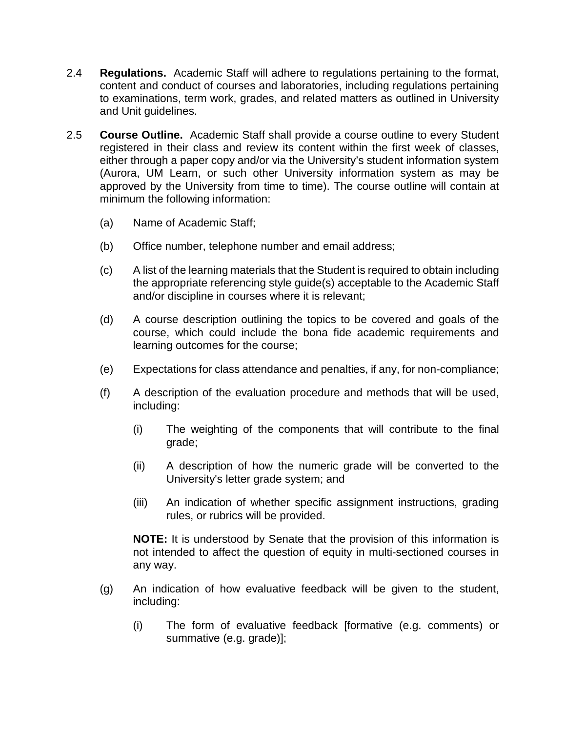- 2.4 **Regulations.** Academic Staff will adhere to regulations pertaining to the format, content and conduct of courses and laboratories, including regulations pertaining to examinations, term work, grades, and related matters as outlined in University and Unit guidelines.
- <span id="page-2-1"></span>2.5 **Course Outline.** Academic Staff shall provide a course outline to every Student registered in their class and review its content within the first week of classes, either through a paper copy and/or via the University's student information system (Aurora, UM Learn, or such other University information system as may be approved by the University from time to time). The course outline will contain at minimum the following information:
	- (a) Name of Academic Staff;
	- (b) Office number, telephone number and email address;
	- (c) A list of the learning materials that the Student is required to obtain including the appropriate referencing style guide(s) acceptable to the Academic Staff and/or discipline in courses where it is relevant;
	- (d) A course description outlining the topics to be covered and goals of the course, which could include the bona fide academic requirements and learning outcomes for the course;
	- (e) Expectations for class attendance and penalties, if any, for non-compliance;
	- (f) A description of the evaluation procedure and methods that will be used, including:
		- (i) The weighting of the components that will contribute to the final grade;
		- (ii) A description of how the numeric grade will be converted to the University's letter grade system; and
		- (iii) An indication of whether specific assignment instructions, grading rules, or rubrics will be provided.

**NOTE:** It is understood by Senate that the provision of this information is not intended to affect the question of equity in multi-sectioned courses in any way.

- <span id="page-2-0"></span>(g) An indication of how evaluative feedback will be given to the student, including:
	- (i) The form of evaluative feedback [formative (e.g. comments) or summative (e.g. grade)];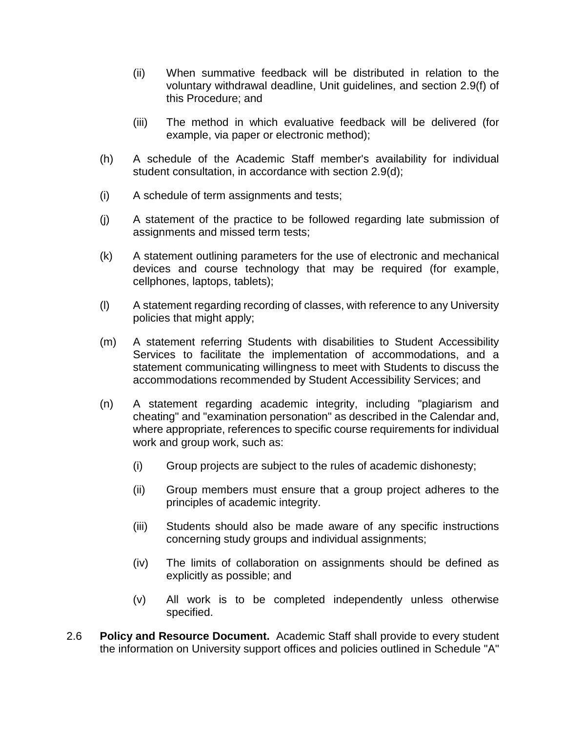- (ii) When summative feedback will be distributed in relation to the voluntary withdrawal deadline, Unit guidelines, and section [2.9\(f\)](#page-5-0) of this Procedure; and
- (iii) The method in which evaluative feedback will be delivered (for example, via paper or electronic method);
- (h) A schedule of the Academic Staff member's availability for individual student consultation, in accordance with section [2.9\(d\);](#page-5-1)
- (i) A schedule of term assignments and tests;
- (j) A statement of the practice to be followed regarding late submission of assignments and missed term tests;
- (k) A statement outlining parameters for the use of electronic and mechanical devices and course technology that may be required (for example, cellphones, laptops, tablets);
- (l) A statement regarding recording of classes, with reference to any University policies that might apply;
- (m) A statement referring Students with disabilities to Student Accessibility Services to facilitate the implementation of accommodations, and a statement communicating willingness to meet with Students to discuss the accommodations recommended by Student Accessibility Services; and
- (n) A statement regarding academic integrity, including "plagiarism and cheating" and "examination personation" as described in the Calendar and, where appropriate, references to specific course requirements for individual work and group work, such as:
	- (i) Group projects are subject to the rules of academic dishonesty;
	- (ii) Group members must ensure that a group project adheres to the principles of academic integrity.
	- (iii) Students should also be made aware of any specific instructions concerning study groups and individual assignments;
	- (iv) The limits of collaboration on assignments should be defined as explicitly as possible; and
	- (v) All work is to be completed independently unless otherwise specified.
- 2.6 **Policy and Resource Document.** Academic Staff shall provide to every student the information on University support offices and policies outlined in Schedule "A"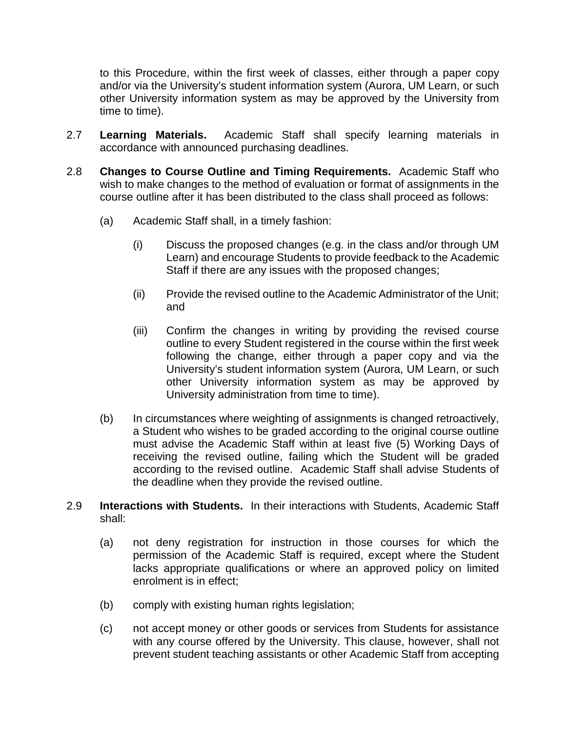to this Procedure, within the first week of classes, either through a paper copy and/or via the University's student information system (Aurora, UM Learn, or such other University information system as may be approved by the University from time to time).

- 2.7 **Learning Materials.** Academic Staff shall specify learning materials in accordance with announced purchasing deadlines.
- 2.8 **Changes to Course Outline and Timing Requirements.** Academic Staff who wish to make changes to the method of evaluation or format of assignments in the course outline after it has been distributed to the class shall proceed as follows:
	- (a) Academic Staff shall, in a timely fashion:
		- (i) Discuss the proposed changes (e.g. in the class and/or through UM Learn) and encourage Students to provide feedback to the Academic Staff if there are any issues with the proposed changes;
		- (ii) Provide the revised outline to the Academic Administrator of the Unit; and
		- (iii) Confirm the changes in writing by providing the revised course outline to every Student registered in the course within the first week following the change, either through a paper copy and via the University's student information system (Aurora, UM Learn, or such other University information system as may be approved by University administration from time to time).
	- (b) In circumstances where weighting of assignments is changed retroactively, a Student who wishes to be graded according to the original course outline must advise the Academic Staff within at least five (5) Working Days of receiving the revised outline, failing which the Student will be graded according to the revised outline. Academic Staff shall advise Students of the deadline when they provide the revised outline.
- 2.9 **Interactions with Students.** In their interactions with Students, Academic Staff shall:
	- (a) not deny registration for instruction in those courses for which the permission of the Academic Staff is required, except where the Student lacks appropriate qualifications or where an approved policy on limited enrolment is in effect;
	- (b) comply with existing human rights legislation;
	- (c) not accept money or other goods or services from Students for assistance with any course offered by the University. This clause, however, shall not prevent student teaching assistants or other Academic Staff from accepting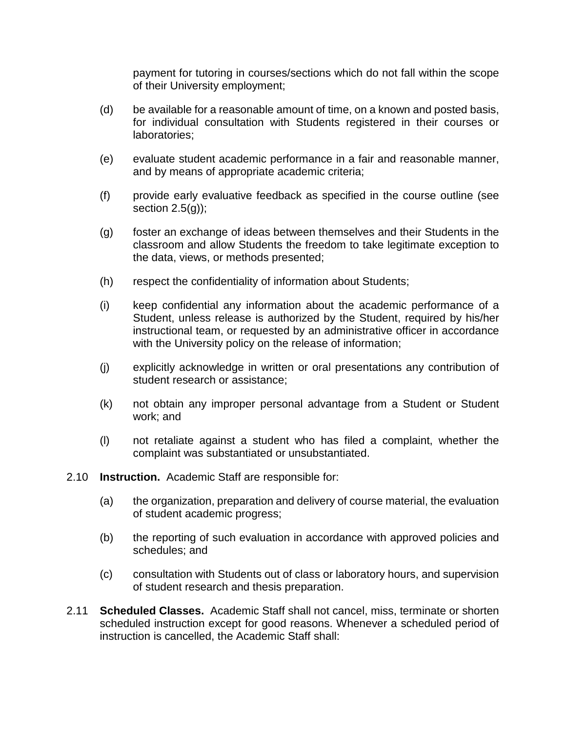<span id="page-5-1"></span>payment for tutoring in courses/sections which do not fall within the scope of their University employment;

- (d) be available for a reasonable amount of time, on a known and posted basis, for individual consultation with Students registered in their courses or laboratories;
- (e) evaluate student academic performance in a fair and reasonable manner, and by means of appropriate academic criteria;
- <span id="page-5-0"></span>(f) provide early evaluative feedback as specified in the course outline (see section  $2.5(q)$ ;
- (g) foster an exchange of ideas between themselves and their Students in the classroom and allow Students the freedom to take legitimate exception to the data, views, or methods presented;
- (h) respect the confidentiality of information about Students;
- (i) keep confidential any information about the academic performance of a Student, unless release is authorized by the Student, required by his/her instructional team, or requested by an administrative officer in accordance with the University policy on the release of information;
- (j) explicitly acknowledge in written or oral presentations any contribution of student research or assistance;
- (k) not obtain any improper personal advantage from a Student or Student work; and
- (l) not retaliate against a student who has filed a complaint, whether the complaint was substantiated or unsubstantiated.
- 2.10 **Instruction.** Academic Staff are responsible for:
	- (a) the organization, preparation and delivery of course material, the evaluation of student academic progress;
	- (b) the reporting of such evaluation in accordance with approved policies and schedules; and
	- (c) consultation with Students out of class or laboratory hours, and supervision of student research and thesis preparation.
- 2.11 **Scheduled Classes.** Academic Staff shall not cancel, miss, terminate or shorten scheduled instruction except for good reasons. Whenever a scheduled period of instruction is cancelled, the Academic Staff shall: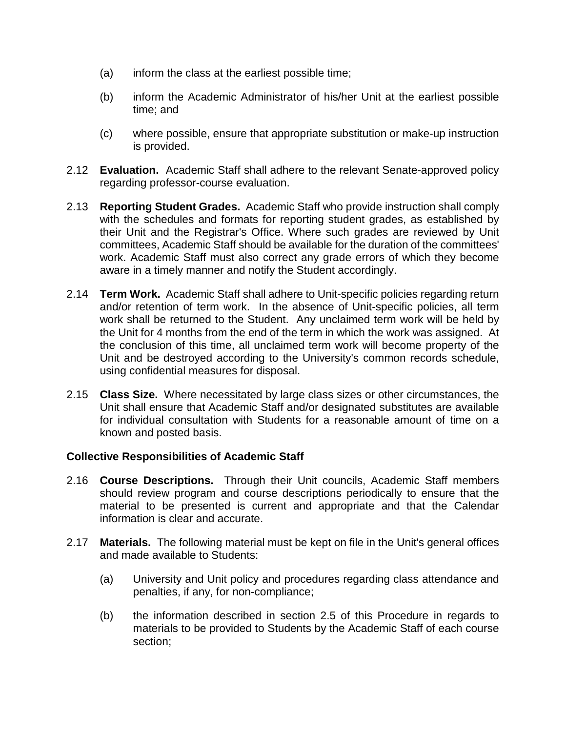- (a) inform the class at the earliest possible time;
- (b) inform the Academic Administrator of his/her Unit at the earliest possible time; and
- (c) where possible, ensure that appropriate substitution or make-up instruction is provided.
- 2.12 **Evaluation.** Academic Staff shall adhere to the relevant Senate-approved policy regarding professor-course evaluation.
- 2.13 **Reporting Student Grades.** Academic Staff who provide instruction shall comply with the schedules and formats for reporting student grades, as established by their Unit and the Registrar's Office. Where such grades are reviewed by Unit committees, Academic Staff should be available for the duration of the committees' work. Academic Staff must also correct any grade errors of which they become aware in a timely manner and notify the Student accordingly.
- 2.14 **Term Work.** Academic Staff shall adhere to Unit-specific policies regarding return and/or retention of term work. In the absence of Unit-specific policies, all term work shall be returned to the Student. Any unclaimed term work will be held by the Unit for 4 months from the end of the term in which the work was assigned. At the conclusion of this time, all unclaimed term work will become property of the Unit and be destroyed according to the University's common records schedule, using confidential measures for disposal.
- 2.15 **Class Size.** Where necessitated by large class sizes or other circumstances, the Unit shall ensure that Academic Staff and/or designated substitutes are available for individual consultation with Students for a reasonable amount of time on a known and posted basis.

# **Collective Responsibilities of Academic Staff**

- 2.16 **Course Descriptions.** Through their Unit councils, Academic Staff members should review program and course descriptions periodically to ensure that the material to be presented is current and appropriate and that the Calendar information is clear and accurate.
- 2.17 **Materials.** The following material must be kept on file in the Unit's general offices and made available to Students:
	- (a) University and Unit policy and procedures regarding class attendance and penalties, if any, for non-compliance;
	- (b) the information described in section [2.5](#page-2-1) of this Procedure in regards to materials to be provided to Students by the Academic Staff of each course section;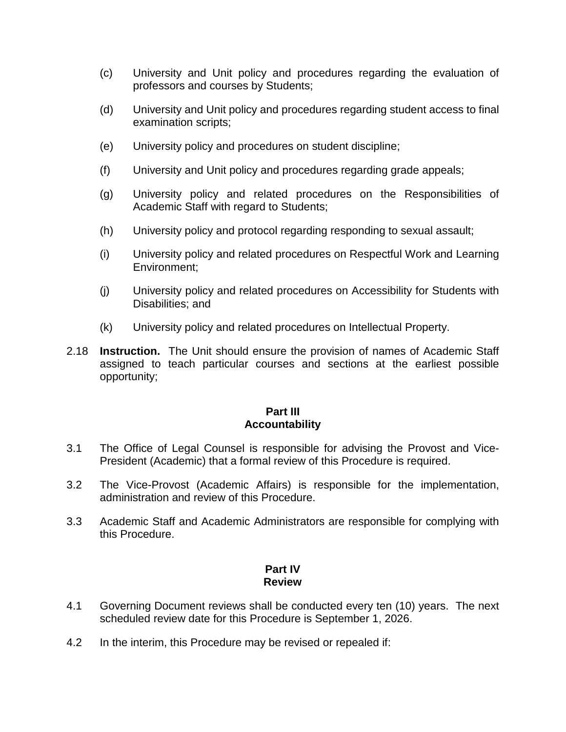- (c) University and Unit policy and procedures regarding the evaluation of professors and courses by Students;
- (d) University and Unit policy and procedures regarding student access to final examination scripts;
- (e) University policy and procedures on student discipline;
- (f) University and Unit policy and procedures regarding grade appeals;
- (g) University policy and related procedures on the Responsibilities of Academic Staff with regard to Students;
- (h) University policy and protocol regarding responding to sexual assault;
- (i) University policy and related procedures on Respectful Work and Learning Environment;
- (j) University policy and related procedures on Accessibility for Students with Disabilities; and
- (k) University policy and related procedures on Intellectual Property.
- 2.18 **Instruction.** The Unit should ensure the provision of names of Academic Staff assigned to teach particular courses and sections at the earliest possible opportunity;

### **Part III Accountability**

- 3.1 The Office of Legal Counsel is responsible for advising the Provost and Vice-President (Academic) that a formal review of this Procedure is required.
- 3.2 The Vice-Provost (Academic Affairs) is responsible for the implementation, administration and review of this Procedure.
- 3.3 Academic Staff and Academic Administrators are responsible for complying with this Procedure.

# **Part IV Review**

- 4.1 Governing Document reviews shall be conducted every ten (10) years. The next scheduled review date for this Procedure is September 1, 2026.
- 4.2 In the interim, this Procedure may be revised or repealed if: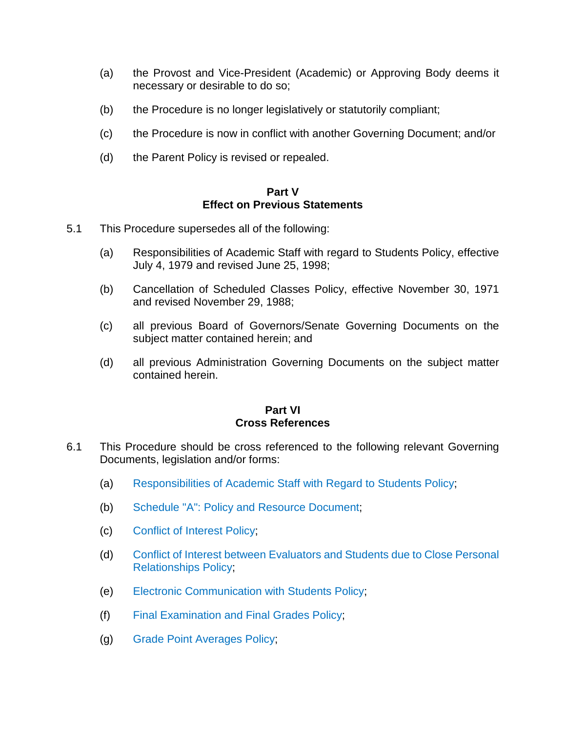- (a) the Provost and Vice-President (Academic) or Approving Body deems it necessary or desirable to do so;
- (b) the Procedure is no longer legislatively or statutorily compliant;
- (c) the Procedure is now in conflict with another Governing Document; and/or
- (d) the Parent Policy is revised or repealed.

## **Part V Effect on Previous Statements**

- 5.1 This Procedure supersedes all of the following:
	- (a) Responsibilities of Academic Staff with regard to Students Policy, effective July 4, 1979 and revised June 25, 1998;
	- (b) Cancellation of Scheduled Classes Policy, effective November 30, 1971 and revised November 29, 1988;
	- (c) all previous Board of Governors/Senate Governing Documents on the subject matter contained herein; and
	- (d) all previous Administration Governing Documents on the subject matter contained herein.

# **Part VI Cross References**

- 6.1 This Procedure should be cross referenced to the following relevant Governing Documents, legislation and/or forms:
	- (a) Responsibilities of Academic Staff with Regard to Students Policy;
	- (b) Schedule "A": Policy and Resource Document;
	- (c) Conflict of Interest Policy;
	- (d) Conflict of Interest between Evaluators and Students due to Close Personal Relationships Policy;
	- (e) Electronic Communication with Students Policy;
	- (f) Final Examination and Final Grades Policy;
	- (g) Grade Point Averages Policy;